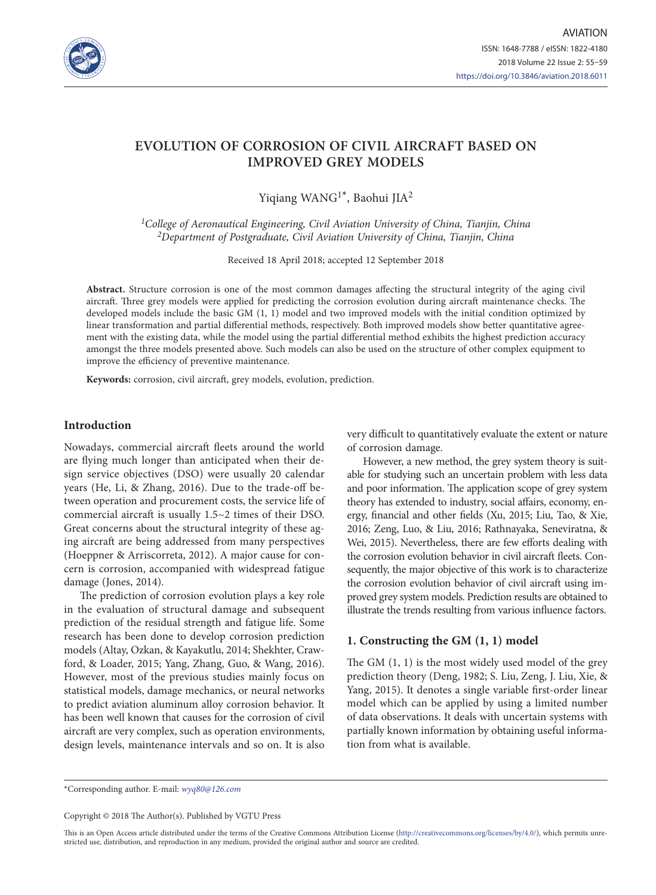

# **EVOLUTION OF CORROSION OF CIVIL AIRCRAFT BASED ON IMPROVED GREY MODELS**

Yiqiang WANG1\*, Baohui JIA2

*1College of Aeronautical Engineering, Civil Aviation University of China, Tianjin, China 2Department of Postgraduate, Civil Aviation University of China, Tianjin, China*

Received 18 April 2018; accepted 12 September 2018

**Abstract.** Structure corrosion is one of the most common damages affecting the structural integrity of the aging civil aircraft. Three grey models were applied for predicting the corrosion evolution during aircraft maintenance checks. The developed models include the basic GM (1, 1) model and two improved models with the initial condition optimized by linear transformation and partial differential methods, respectively. Both improved models show better quantitative agreement with the existing data, while the model using the partial differential method exhibits the highest prediction accuracy amongst the three models presented above. Such models can also be used on the structure of other complex equipment to improve the efficiency of preventive maintenance.

**Keywords:** corrosion, civil aircraft, grey models, evolution, prediction.

# **Introduction**

Nowadays, commercial aircraft fleets around the world are flying much longer than anticipated when their design service objectives (DSO) were usually 20 calendar years (He, Li, & Zhang, 2016). Due to the trade-off between operation and procurement costs, the service life of commercial aircraft is usually 1.5~2 times of their DSO. Great concerns about the structural integrity of these aging aircraft are being addressed from many perspectives (Hoeppner & Arriscorreta, 2012). A major cause for concern is corrosion, accompanied with widespread fatigue damage (Jones, 2014).

The prediction of corrosion evolution plays a key role in the evaluation of structural damage and subsequent prediction of the residual strength and fatigue life. Some research has been done to develop corrosion prediction models (Altay, Ozkan, & Kayakutlu, 2014; Shekhter, Crawford, & Loader, 2015; Yang, Zhang, Guo, & Wang, 2016). However, most of the previous studies mainly focus on statistical models, damage mechanics, or neural networks to predict aviation aluminum alloy corrosion behavior. It has been well known that causes for the corrosion of civil aircraft are very complex, such as operation environments, design levels, maintenance intervals and so on. It is also

very difficult to quantitatively evaluate the extent or nature of corrosion damage.

However, a new method, the grey system theory is suitable for studying such an uncertain problem with less data and poor information. The application scope of grey system theory has extended to industry, social affairs, economy, energy, financial and other fields (Xu, 2015; Liu, Tao, & Xie, 2016; Zeng, Luo, & Liu, 2016; Rathnayaka, Seneviratna, & Wei, 2015). Nevertheless, there are few efforts dealing with the corrosion evolution behavior in civil aircraft fleets. Consequently, the major objective of this work is to characterize the corrosion evolution behavior of civil aircraft using improved grey system models. Prediction results are obtained to illustrate the trends resulting from various influence factors.

## **1. Constructing the GM (1, 1) model**

The GM (1, 1) is the most widely used model of the grey prediction theory (Deng, 1982; S. Liu, Zeng, J. Liu, Xie, & Yang, 2015). It denotes a single variable first-order linear model which can be applied by using a limited number of data observations. It deals with uncertain systems with partially known information by obtaining useful information from what is available.

\*Corresponding author. E-mail: *wyq80@126.com*

Copyright © 2018 The Author(s). Published by VGTU Press

This is an Open Access article distributed under the terms of the Creative Commons Attribution License (<http://creativecommons.org/licenses/by/4.0/>), which permits unrestricted use, distribution, and reproduction in any medium, provided the original author and source are credited.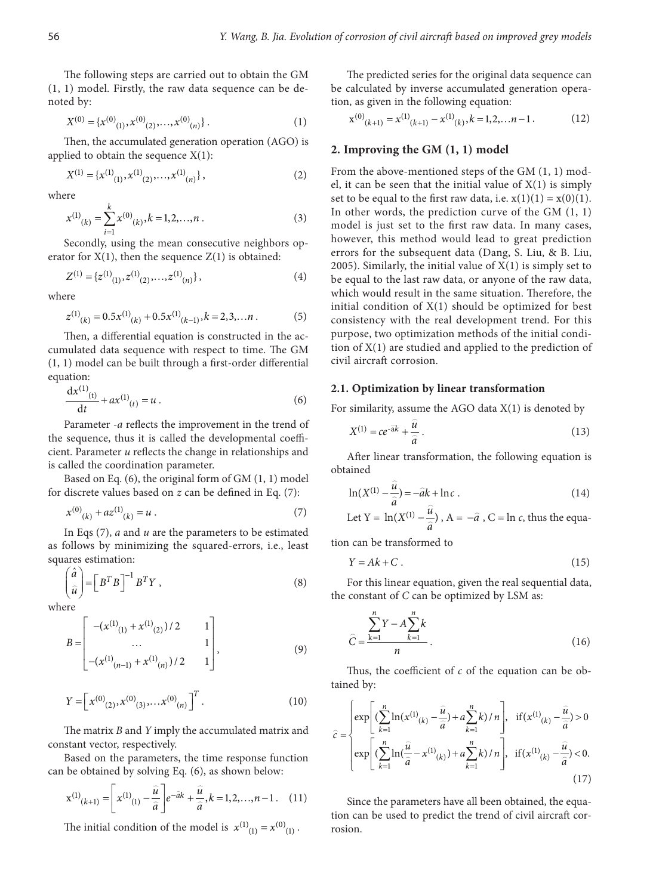The following steps are carried out to obtain the GM (1, 1) model. Firstly, the raw data sequence can be denoted by:

$$
X^{(0)} = \{x^{(0)}_{(1)}, x^{(0)}_{(2)}, \dots, x^{(0)}_{(n)}\}.
$$
 (1)

Then, the accumulated generation operation (AGO) is applied to obtain the sequence  $X(1)$ :

$$
X^{(1)} = \{x^{(1)}_{(1)}, x^{(1)}_{(2)}, \dots, x^{(1)}_{(n)}\},\tag{2}
$$

where

$$
x^{(1)}(k) = \sum_{i=1}^{k} x^{(0)}(k), k = 1, 2, \dots, n
$$
 (3)

Secondly, using the mean consecutive neighbors operator for  $X(1)$ , then the sequence  $Z(1)$  is obtained:

$$
Z^{(1)} = \{z^{(1)}_{(1)}, z^{(1)}_{(2)}, \dots, z^{(1)}_{(n)}\},\tag{4}
$$

where

$$
z^{(1)}_{(k)} = 0.5x^{(1)}_{(k)} + 0.5x^{(1)}_{(k-1)}, k = 2,3,...n
$$
 (5)

Then, a differential equation is constructed in the accumulated data sequence with respect to time. The GM (1, 1) model can be built through a first-order differential equation:

$$
\frac{dx^{(1)}(t)}{dt} + ax^{(1)}(t) = u.
$$
 (6)

Parameter *-a* reflects the improvement in the trend of the sequence, thus it is called the developmental coefficient. Parameter *u* reflects the change in relationships and is called the coordination parameter.

Based on Eq. (6), the original form of GM (1, 1) model for discrete values based on *z* can be defined in Eq. (7):

$$
x^{(0)}_{(k)} + az^{(1)}_{(k)} = u . \tag{7}
$$

In Eqs (7), *a* and *u* are the parameters to be estimated as follows by minimizing the squared-errors, i.e., least squares estimation:

$$
\begin{pmatrix} \hat{a} \\ \hat{u} \end{pmatrix} = \begin{bmatrix} B^T B \end{bmatrix}^{-1} B^T Y , \qquad (8)
$$

where

$$
B = \begin{bmatrix} -(x^{(1)}_{(1)} + x^{(1)}_{(2)})/2 & 1 \\ \dots & \dots & 1 \\ -(x^{(1)}_{(n-1)} + x^{(1)}_{(n)})/2 & 1 \end{bmatrix},
$$
(9)

$$
Y = \left[ x^{(0)}_{(2)}, x^{(0)}_{(3)}, \dots, x^{(0)}_{(n)} \right]^T.
$$
 (10)

The matrix *B* and *Y* imply the accumulated matrix and constant vector, respectively.

Based on the parameters, the time response function can be obtained by solving Eq. (6), as shown below:

$$
\mathbf{x}^{(1)}(k+1) = \left[ x^{(1)}(1) - \frac{\hat{u}}{\hat{a}} \right] e^{-\hat{a}k} + \frac{\hat{u}}{\hat{a}}, k = 1, 2, \dots, n-1.
$$
 (11)

The initial condition of the model is  $x^{(1)}_{(1)} = x^{(0)}_{(1)}$ .

The predicted series for the original data sequence can be calculated by inverse accumulated generation operation, as given in the following equation:

$$
\mathbf{x}^{(0)}(k+1)} = \mathbf{x}^{(1)}(k+1) - \mathbf{x}^{(1)}(k), k = 1, 2, \dots n-1.
$$
 (12)

#### **2. Improving the GM (1, 1) model**

From the above-mentioned steps of the GM (1, 1) model, it can be seen that the initial value of  $X(1)$  is simply set to be equal to the first raw data, i.e.  $x(1)(1) = x(0)(1)$ . In other words, the prediction curve of the GM (1, 1) model is just set to the first raw data. In many cases, however, this method would lead to great prediction errors for the subsequent data (Dang, S. Liu, & B. Liu, 2005). Similarly, the initial value of  $X(1)$  is simply set to be equal to the last raw data, or anyone of the raw data, which would result in the same situation. Therefore, the initial condition of X(1) should be optimized for best consistency with the real development trend. For this purpose, two optimization methods of the initial condition of X(1) are studied and applied to the prediction of civil aircraft corrosion.

## **2.1. Optimization by linear transformation**

For similarity, assume the AGO data  $X(1)$  is denoted by

$$
X^{(1)} = ce^{-\hat{a}k} + \frac{\hat{u}}{\hat{a}}.
$$
\n(13)

After linear transformation, the following equation is obtained

$$
\ln(X^{(1)} - \frac{\widehat{u}}{\widehat{a}}) = -\widehat{a}k + \ln c \tag{14}
$$

Let 
$$
Y = \ln(X^{(1)} - \frac{\hat{u}}{\hat{a}})
$$
,  $A = -\hat{a}$ ,  $C = \ln c$ , thus the equa-

tion can be transformed to

$$
Y = Ak + C. \tag{15}
$$

For this linear equation, given the real sequential data, the constant of *C* can be optimized by LSM as:

$$
\hat{C} = \frac{\sum_{k=1}^{n} Y - A \sum_{k=1}^{n} k}{n}.
$$
\n(16)

Thus, the coefficient of *c* of the equation can be obtained by:

$$
\hat{c} = \begin{cases}\n\exp\left[\left(\sum_{k=1}^{n} \ln(x^{(1)}(k) - \frac{\hat{u}}{\hat{a}}) + a \sum_{k=1}^{n} k\right) / n\right], & \text{if } (x^{(1)}(k) - \frac{\hat{u}}{\hat{a}}) > 0 \\
\exp\left[\left(\sum_{k=1}^{n} \ln(\frac{\hat{u}}{\hat{a}} - x^{(1)}(k)) + a \sum_{k=1}^{n} k\right) / n\right], & \text{if } (x^{(1)}(k) - \frac{\hat{u}}{\hat{a}}) < 0.\n\end{cases}
$$
\n(17)

Since the parameters have all been obtained, the equation can be used to predict the trend of civil aircraft corrosion.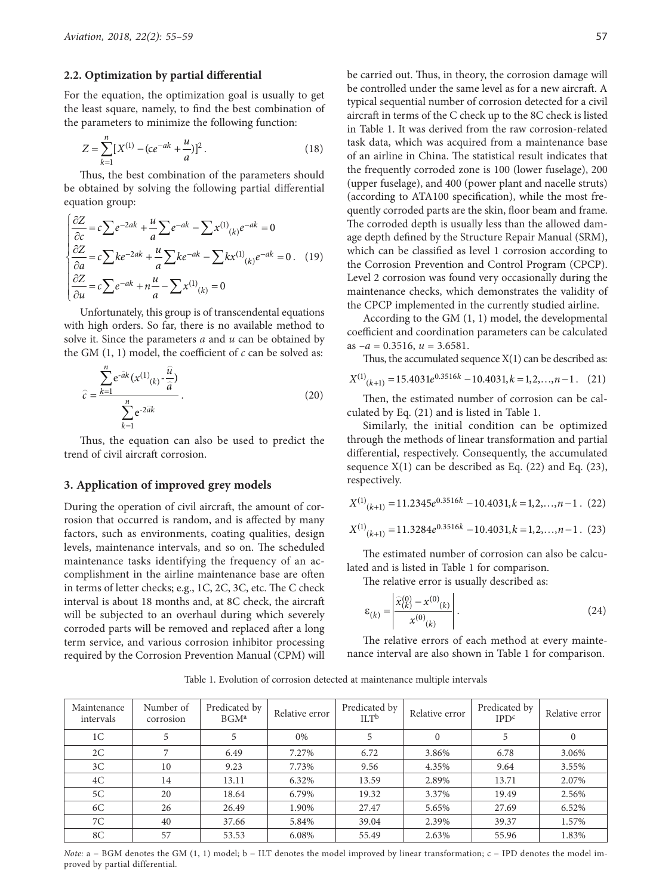## **2.2. Optimization by partial differential**

For the equation, the optimization goal is usually to get the least square, namely, to find the best combination of the parameters to minimize the following function:

$$
Z = \sum_{k=1}^{n} [X^{(1)} - (ce^{-ak} + \frac{u}{a})]^2.
$$
 (18)

Thus, the best combination of the parameters should be obtained by solving the following partial differential equation group:

$$
\begin{cases}\n\frac{\partial Z}{\partial c} = c \sum e^{-2ak} + \frac{u}{a} \sum e^{-ak} - \sum x^{(1)}_{(k)} e^{-ak} = 0 \\
\frac{\partial Z}{\partial a} = c \sum k e^{-2ak} + \frac{u}{a} \sum k e^{-ak} - \sum k x^{(1)}_{(k)} e^{-ak} = 0. \quad (19) \\
\frac{\partial Z}{\partial u} = c \sum e^{-ak} + n \frac{u}{a} - \sum x^{(1)}_{(k)} = 0\n\end{cases}
$$

Unfortunately, this group is of transcendental equations with high orders. So far, there is no available method to solve it. Since the parameters *a* and *u* can be obtained by the GM (1, 1) model, the coefficient of *c* can be solved as:

$$
\hat{c} = \frac{\sum_{k=1}^{n} e^{-\hat{a}k} (x^{(1)}(k) - \frac{\hat{u}}{\hat{a}})}{\sum_{k=1}^{n} e^{-2\hat{a}k}}.
$$
\n(20)

Thus, the equation can also be used to predict the trend of civil aircraft corrosion.

#### **3. Application of improved grey models**

During the operation of civil aircraft, the amount of corrosion that occurred is random, and is affected by many factors, such as environments, coating qualities, design levels, maintenance intervals, and so on. The scheduled maintenance tasks identifying the frequency of an accomplishment in the airline maintenance base are often in terms of letter checks; e.g., 1C, 2C, 3C, etc. The C check interval is about 18 months and, at 8C check, the aircraft will be subjected to an overhaul during which severely corroded parts will be removed and replaced after a long term service, and various corrosion inhibitor processing required by the Corrosion Prevention Manual (CPM) will be carried out. Thus, in theory, the corrosion damage will be controlled under the same level as for a new aircraft. A typical sequential number of corrosion detected for a civil aircraft in terms of the C check up to the 8C check is listed in Table 1. It was derived from the raw corrosion-related task data, which was acquired from a maintenance base of an airline in China. The statistical result indicates that the frequently corroded zone is 100 (lower fuselage), 200 (upper fuselage), and 400 (power plant and nacelle struts) (according to ATA100 specification), while the most frequently corroded parts are the skin, floor beam and frame. The corroded depth is usually less than the allowed damage depth defined by the Structure Repair Manual (SRM), which can be classified as level 1 corrosion according to the Corrosion Prevention and Control Program (CPCP). Level 2 corrosion was found very occasionally during the maintenance checks, which demonstrates the validity of the CPCP implemented in the currently studied airline.

According to the GM (1, 1) model, the developmental coefficient and coordination parameters can be calculated as  $-a = 0.3516$ ,  $u = 3.6581$ .

Thus, the accumulated sequence  $X(1)$  can be described as:

$$
X^{(1)}(k+1) = 15.4031e^{0.3516k} - 10.4031, k = 1, 2, \dots, n-1. \quad (21)
$$

Then, the estimated number of corrosion can be calculated by Eq. (21) and is listed in Table 1.

Similarly, the initial condition can be optimized through the methods of linear transformation and partial differential, respectively. Consequently, the accumulated sequence  $X(1)$  can be described as Eq. (22) and Eq. (23), respectively.

$$
X^{(1)}(k+1) = 11.2345e^{0.3516k} - 10.4031, k = 1, 2, ..., n-1
$$
 (22)

$$
X^{(1)}(k+1) = 11.3284e^{0.3516k} - 10.4031, k = 1, 2, \dots, n-1. \tag{23}
$$

The estimated number of corrosion can also be calculated and is listed in Table 1 for comparison.

The relative error is usually described as:

$$
\varepsilon_{(k)} = \left| \frac{\widehat{x}_{(k)}^{(0)} - x^{(0)}_{(k)}}{x^{(0)}_{(k)}} \right|.
$$
\n(24)

The relative errors of each method at every maintenance interval are also shown in Table 1 for comparison.

Table 1. Evolution of corrosion detected at maintenance multiple intervals

| Maintenance<br>intervals | Number of<br>corrosion | Predicated by<br>BGM <sup>a</sup> | Relative error | Predicated by<br>$\mathbf{I} \mathbf{L} \mathbf{T}^{\mathbf{b}}$ | Relative error | Predicated by<br>IPD <sup>c</sup> | Relative error |
|--------------------------|------------------------|-----------------------------------|----------------|------------------------------------------------------------------|----------------|-----------------------------------|----------------|
| 1 <sup>C</sup>           |                        |                                   | $0\%$          |                                                                  | $\Omega$       | 5                                 | $\mathbf{0}$   |
| 2C                       |                        | 6.49                              | 7.27%          | 6.72                                                             | 3.86%          | 6.78                              | 3.06%          |
| 3C                       | 10                     | 9.23                              | 7.73%          | 9.56                                                             | 4.35%          | 9.64                              | 3.55%          |
| 4C                       | 14                     | 13.11                             | 6.32%          | 13.59                                                            | 2.89%          | 13.71                             | 2.07%          |
| 5C                       | 20                     | 18.64                             | 6.79%          | 19.32                                                            | 3.37%          | 19.49                             | 2.56%          |
| 6C                       | 26                     | 26.49                             | 1.90%          | 27.47                                                            | 5.65%          | 27.69                             | 6.52%          |
| 7C                       | 40                     | 37.66                             | 5.84%          | 39.04                                                            | 2.39%          | 39.37                             | 1.57%          |
| 8C                       | 57                     | 53.53                             | 6.08%          | 55.49                                                            | 2.63%          | 55.96                             | 1.83%          |

*Note*: a − BGM denotes the GM (1, 1) model; b − ILT denotes the model improved by linear transformation; c − IPD denotes the model improved by partial differential.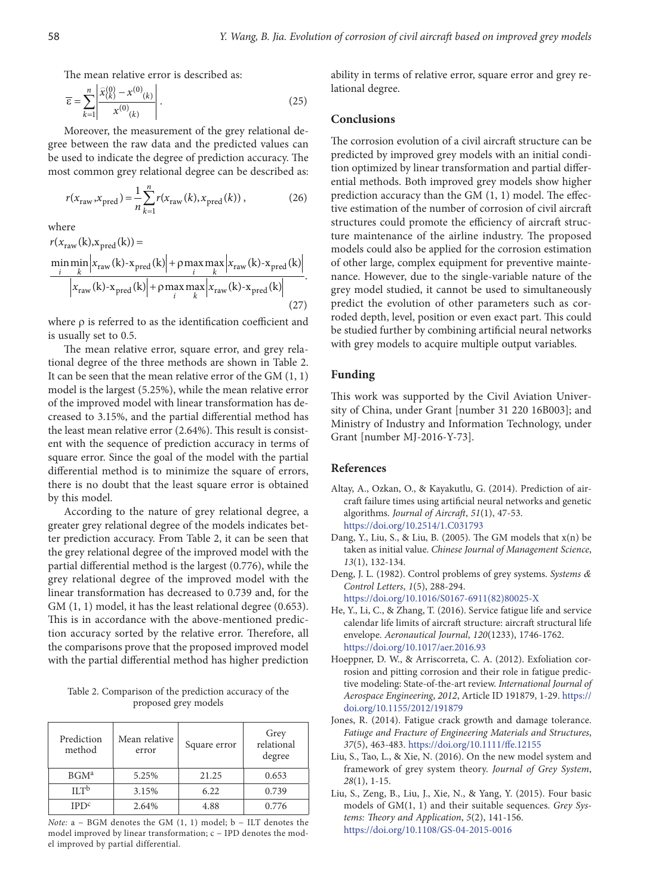The mean relative error is described as:

$$
\overline{\varepsilon} = \sum_{k=1}^{n} \left| \frac{\widehat{x}_{(k)}^{(0)} - x^{(0)}(k)}{x^{(0)}(k)} \right|.
$$
\n(25)

Moreover, the measurement of the grey relational degree between the raw data and the predicted values can be used to indicate the degree of prediction accuracy. The most common grey relational degree can be described as:

$$
r(x_{\text{raw}}, x_{\text{pred}}) = \frac{1}{n} \sum_{k=1}^{n} r(x_{\text{raw}}(k), x_{\text{pred}}(k)),
$$
 (26)

where

$$
r(x_{\text{raw}}(k), x_{\text{pred}}(k)) =
$$
  
\n
$$
\frac{\min\min_{i} |x_{\text{raw}}(k) - x_{\text{pred}}(k)| + \rho \max_{i} \max_{k} |x_{\text{raw}}(k) - x_{\text{pred}}(k)|}{|x_{\text{raw}}(k) - x_{\text{pred}}(k)| + \rho \max_{i} \max_{k} |x_{\text{raw}}(k) - x_{\text{pred}}(k)|}
$$
\n(27)

where ρ is referred to as the identification coefficient and is usually set to 0.5.

The mean relative error, square error, and grey relational degree of the three methods are shown in Table 2. It can be seen that the mean relative error of the GM (1, 1) model is the largest (5.25%), while the mean relative error of the improved model with linear transformation has decreased to 3.15%, and the partial differential method has the least mean relative error (2.64%). This result is consistent with the sequence of prediction accuracy in terms of square error. Since the goal of the model with the partial differential method is to minimize the square of errors, there is no doubt that the least square error is obtained by this model.

According to the nature of grey relational degree, a greater grey relational degree of the models indicates better prediction accuracy. From Table 2, it can be seen that the grey relational degree of the improved model with the partial differential method is the largest (0.776), while the grey relational degree of the improved model with the linear transformation has decreased to 0.739 and, for the GM  $(1, 1)$  model, it has the least relational degree  $(0.653)$ . This is in accordance with the above-mentioned prediction accuracy sorted by the relative error. Therefore, all the comparisons prove that the proposed improved model with the partial differential method has higher prediction

Table 2. Comparison of the prediction accuracy of the proposed grey models

| Prediction<br>method | Mean relative<br>error | Square error | Grey<br>relational<br>degree |  |
|----------------------|------------------------|--------------|------------------------------|--|
| BGM <sup>a</sup>     | 5.25%                  | 21.25        | 0.653                        |  |
| $\Pi T^b$            | 3.15%                  | 6.22         | 0.739                        |  |
| IPD <sup>c</sup>     | 2.64%                  | 4.88         | 0.776                        |  |

*Note:* a − BGM denotes the GM (1, 1) model; b − ILT denotes the model improved by linear transformation; c − IPD denotes the model improved by partial differential.

ability in terms of relative error, square error and grey relational degree.

# **Conclusions**

The corrosion evolution of a civil aircraft structure can be predicted by improved grey models with an initial condition optimized by linear transformation and partial differential methods. Both improved grey models show higher prediction accuracy than the GM (1, 1) model. The effective estimation of the number of corrosion of civil aircraft structures could promote the efficiency of aircraft structure maintenance of the airline industry. The proposed models could also be applied for the corrosion estimation of other large, complex equipment for preventive maintenance. However, due to the single-variable nature of the grey model studied, it cannot be used to simultaneously predict the evolution of other parameters such as corroded depth, level, position or even exact part. This could be studied further by combining artificial neural networks with grey models to acquire multiple output variables.

# **Funding**

This work was supported by the Civil Aviation University of China, under Grant [number 31 220 16B003]; and Ministry of Industry and Information Technology, under Grant [number MJ-2016-Y-73].

## **References**

- Altay, A., Ozkan, O., & Kayakutlu, G. (2014). Prediction of aircraft failure times using artificial neural networks and genetic algorithms. *Journal of Aircraft*, *51*(1), 47-53. <https://doi.org/10.2514/1.C031793>
- Dang, Y., Liu, S., & Liu, B. (2005). The GM models that x(n) be taken as initial value. *Chinese Journal of Management Science*, *13*(1), 132-134.
- Deng, J. L. (1982). Control problems of grey systems. *Systems & Control Letters*, *1*(5), 288-294. [https://doi.org/10.1016/S0167-6911\(82\)80025-X](https://doi.org/10.1016/S0167-6911(82)80025-X)
- He, Y., Li, C., & Zhang, T. (2016). Service fatigue life and service calendar life limits of aircraft structure: aircraft structural life envelope. *Aeronautical Journal*, *120*(1233), 1746-1762. <https://doi.org/10.1017/aer.2016.93>
- Hoeppner, D. W., & Arriscorreta, C. A. (2012). Exfoliation corrosion and pitting corrosion and their role in fatigue predictive modeling: State-of-the-art review. *International Journal of Aerospace Engineering*, *2012*, Article ID 191879, 1-29. [https://](https://doi.org/10.1155/2012/191879) [doi.org/10.1155/2012/191879](https://doi.org/10.1155/2012/191879)
- Jones, R. (2014). Fatigue crack growth and damage tolerance. *Fatiuge and Fracture of Engineering Materials and Structures*, *37*(5), 463-483. <https://doi.org/10.1111/ffe.12155>
- Liu, S., Tao, L., & Xie, N. (2016). On the new model system and framework of grey system theory. *Journal of Grey System*, *28*(1), 1-15.
- Liu, S., Zeng, B., Liu, J., Xie, N., & Yang, Y. (2015). Four basic models of GM(1, 1) and their suitable sequences. *Grey Systems: Theory and Application*, *5*(2), 141-156. <https://doi.org/10.1108/GS-04-2015-0016>